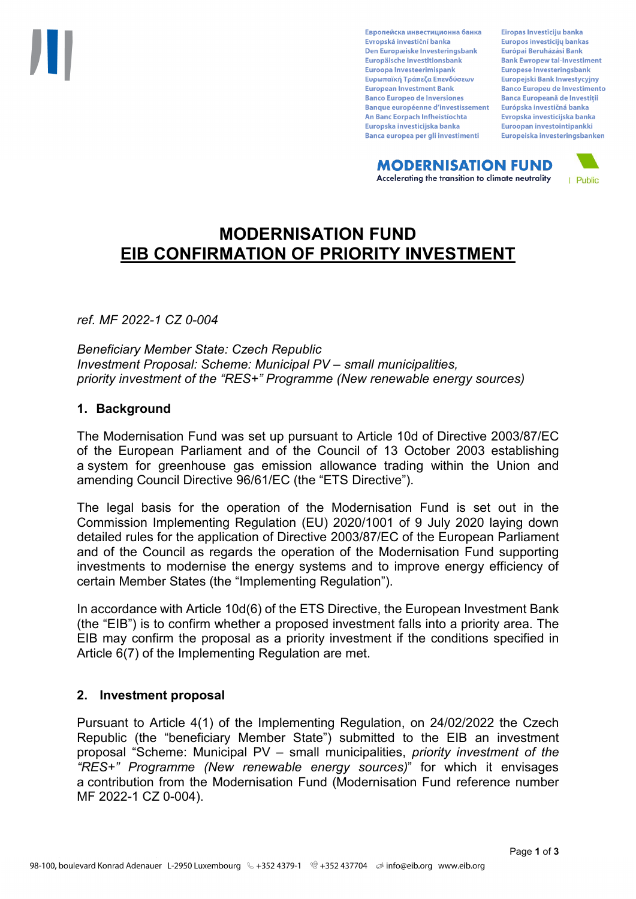Европейска инвестиционна банка Evropská investiční banka Den Europæiske Investeringsbank Europäische Investitionsbank Euroopa Investeerimispank Ευρωπαϊκή Τράπεζα Επενδύσεων **European Investment Bank Banco Europeo de Inversiones Banque européenne d'investissement** An Banc Eorpach Infheistíochta Europska investicijska banka Banca europea per gli investimenti

Eiropas Investīciju banka Europos investicijų bankas Európai Beruházási Bank **Bank Ewropew tal-Investiment** Europese Investeringsbank **Europeiski Bank Inwestycviny Banco Europeu de Investimento Banca Europeană de Investiții** Európska investičná banka Evropska investicijska banka Euroopan investointipankki Europeiska investeringsbanken

**MODERNISATION FUND** Accelerating the transition to climate neutrality



# **MODERNISATION FUND EIB CONFIRMATION OF PRIORITY INVESTMENT**

*ref. MF 2022-1 CZ 0-004*

*Beneficiary Member State: Czech Republic Investment Proposal: Scheme: Municipal PV – small municipalities, priority investment of the "RES+" Programme (New renewable energy sources)*

### **1. Background**

The Modernisation Fund was set up pursuant to Article 10d of Directive 2003/87/EC of the European Parliament and of the Council of 13 October 2003 establishing a system for greenhouse gas emission allowance trading within the Union and amending Council Directive 96/61/EC (the "ETS Directive").

The legal basis for the operation of the Modernisation Fund is set out in the Commission Implementing Regulation (EU) 2020/1001 of 9 July 2020 laying down detailed rules for the application of Directive 2003/87/EC of the European Parliament and of the Council as regards the operation of the Modernisation Fund supporting investments to modernise the energy systems and to improve energy efficiency of certain Member States (the "Implementing Regulation").

In accordance with Article 10d(6) of the ETS Directive, the European Investment Bank (the "EIB") is to confirm whether a proposed investment falls into a priority area. The EIB may confirm the proposal as a priority investment if the conditions specified in Article 6(7) of the Implementing Regulation are met.

### **2. Investment proposal**

Pursuant to Article 4(1) of the Implementing Regulation, on 24/02/2022 the Czech Republic (the "beneficiary Member State") submitted to the EIB an investment proposal "Scheme: Municipal PV – small municipalities, *priority investment of the "RES+" Programme (New renewable energy sources)*" for which it envisages a contribution from the Modernisation Fund (Modernisation Fund reference number MF 2022-1 CZ 0-004).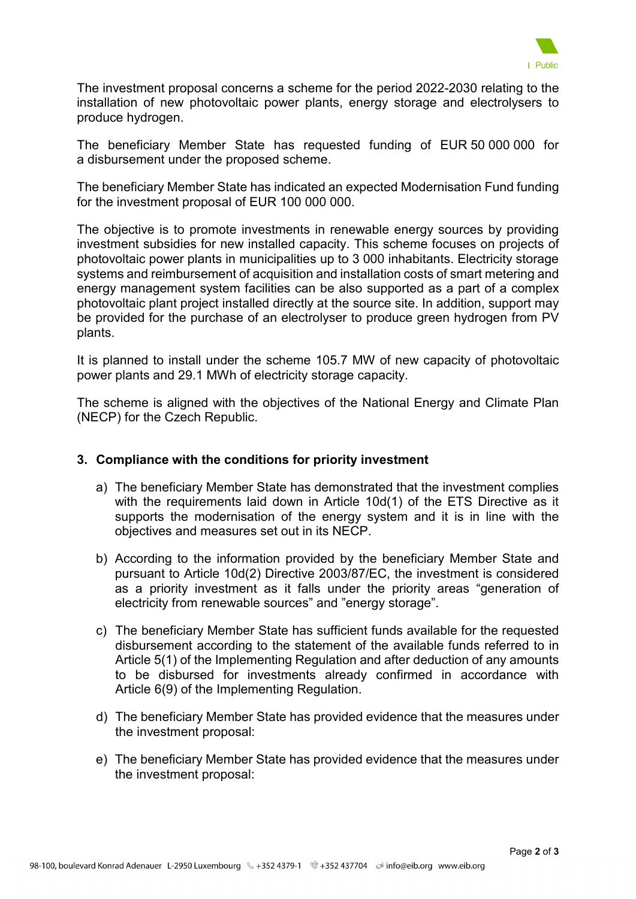

The investment proposal concerns a scheme for the period 2022-2030 relating to the installation of new photovoltaic power plants, energy storage and electrolysers to produce hydrogen.

The beneficiary Member State has requested funding of EUR 50 000 000 for a disbursement under the proposed scheme.

The beneficiary Member State has indicated an expected Modernisation Fund funding for the investment proposal of EUR 100 000 000.

The objective is to promote investments in renewable energy sources by providing investment subsidies for new installed capacity. This scheme focuses on projects of photovoltaic power plants in municipalities up to 3 000 inhabitants. Electricity storage systems and reimbursement of acquisition and installation costs of smart metering and energy management system facilities can be also supported as a part of a complex photovoltaic plant project installed directly at the source site. In addition, support may be provided for the purchase of an electrolyser to produce green hydrogen from PV plants.

It is planned to install under the scheme 105.7 MW of new capacity of photovoltaic power plants and 29.1 MWh of electricity storage capacity.

The scheme is aligned with the objectives of the National Energy and Climate Plan (NECP) for the Czech Republic.

### **3. Compliance with the conditions for priority investment**

- a) The beneficiary Member State has demonstrated that the investment complies with the requirements laid down in Article 10d(1) of the ETS Directive as it supports the modernisation of the energy system and it is in line with the objectives and measures set out in its NECP.
- b) According to the information provided by the beneficiary Member State and pursuant to Article 10d(2) Directive 2003/87/EC, the investment is considered as a priority investment as it falls under the priority areas "generation of electricity from renewable sources" and "energy storage".
- c) The beneficiary Member State has sufficient funds available for the requested disbursement according to the statement of the available funds referred to in Article 5(1) of the Implementing Regulation and after deduction of any amounts to be disbursed for investments already confirmed in accordance with Article 6(9) of the Implementing Regulation.
- d) The beneficiary Member State has provided evidence that the measures under the investment proposal:
- e) The beneficiary Member State has provided evidence that the measures under the investment proposal: